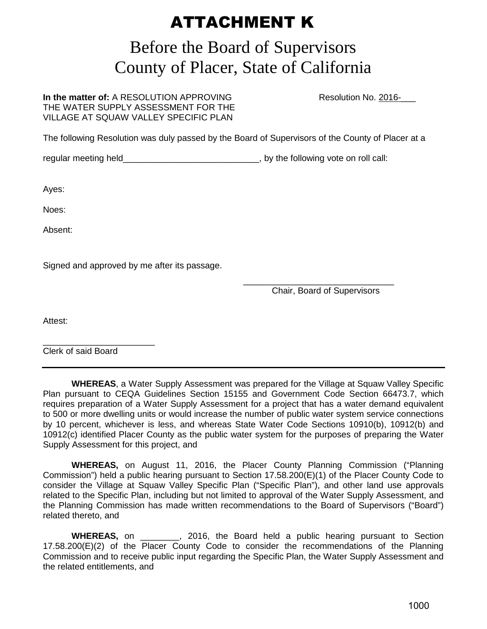## ATTACHMENT K

## Before the Board of Supervisors County of Placer, State of California

**In the matter of:** A RESOLUTION APPROVING Resolution No. 2016-THE WATER SUPPLY ASSESSMENT FOR THE VILLAGE AT SQUAW VALLEY SPECIFIC PLAN

The following Resolution was duly passed by the Board of Supervisors of the County of Placer at a

regular meeting held **the substitute of the following vote on roll call:** 

Ayes:

Noes:

Absent:

Signed and approved by me after its passage.

 $\overline{\phantom{a}}$  , and the contract of the contract of the contract of the contract of the contract of the contract of the contract of the contract of the contract of the contract of the contract of the contract of the contrac Chair, Board of Supervisors

Attest:

\_\_\_\_\_\_\_\_\_\_\_\_\_\_\_\_\_\_\_\_\_\_\_ Clerk of said Board

 **WHEREAS**, a Water Supply Assessment was prepared for the Village at Squaw Valley Specific Plan pursuant to CEQA Guidelines Section 15155 and Government Code Section 66473.7, which requires preparation of a Water Supply Assessment for a project that has a water demand equivalent to 500 or more dwelling units or would increase the number of public water system service connections by 10 percent, whichever is less, and whereas State Water Code Sections 10910(b), 10912(b) and 10912(c) identified Placer County as the public water system for the purposes of preparing the Water Supply Assessment for this project, and

 **WHEREAS,** on August 11, 2016, the Placer County Planning Commission ("Planning Commission") held a public hearing pursuant to Section 17.58.200(E)(1) of the Placer County Code to consider the Village at Squaw Valley Specific Plan ("Specific Plan"), and other land use approvals related to the Specific Plan, including but not limited to approval of the Water Supply Assessment, and the Planning Commission has made written recommendations to the Board of Supervisors ("Board") related thereto, and

 **WHEREAS,** on \_\_\_\_\_\_\_\_, 2016, the Board held a public hearing pursuant to Section 17.58.200(E)(2) of the Placer County Code to consider the recommendations of the Planning Commission and to receive public input regarding the Specific Plan, the Water Supply Assessment and the related entitlements, and